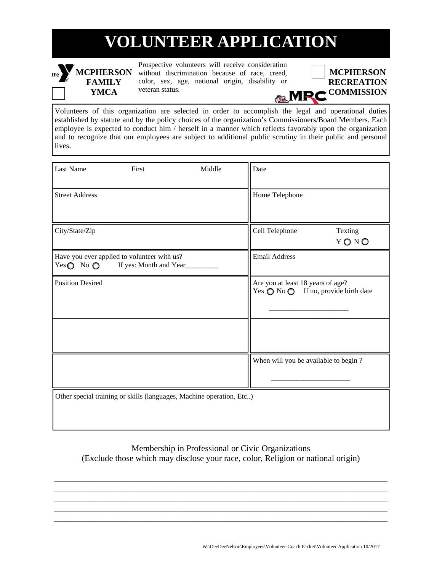# **VOLUNTEER APPLICATION**

### the **MCPHERSON FAMILY YMCA**

Prospective volunteers will receive consideration without discrimination because of race, creed, color, sex, age, national origin, disability or veteran status.



Volunteers of this organization are selected in order to accomplish the legal and operational duties established by statute and by the policy choices of the organization's Commissioners/Board Members. Each employee is expected to conduct him / herself in a manner which reflects favorably upon the organization and to recognize that our employees are subject to additional public scrutiny in their public and personal lives.

| <b>Last Name</b>             | First                                                                 | Middle                                                               | Date                                                                                        |                 |
|------------------------------|-----------------------------------------------------------------------|----------------------------------------------------------------------|---------------------------------------------------------------------------------------------|-----------------|
| <b>Street Address</b>        |                                                                       |                                                                      | Home Telephone                                                                              |                 |
| City/State/Zip               |                                                                       |                                                                      | Cell Telephone                                                                              | Texting<br>YONO |
| Yes $\bigcirc$ No $\bigcirc$ | Have you ever applied to volunteer with us?<br>If yes: Month and Year |                                                                      | <b>Email Address</b>                                                                        |                 |
| <b>Position Desired</b>      |                                                                       |                                                                      | Are you at least 18 years of age?<br>Yes $\bigcirc$ No $\bigcirc$ If no, provide birth date |                 |
|                              |                                                                       |                                                                      |                                                                                             |                 |
|                              |                                                                       |                                                                      | When will you be available to begin?                                                        |                 |
|                              |                                                                       | Other special training or skills (languages, Machine operation, Etc) |                                                                                             |                 |

### Membership in Professional or Civic Organizations (Exclude those which may disclose your race, color, Religion or national origin)

\_\_\_\_\_\_\_\_\_\_\_\_\_\_\_\_\_\_\_\_\_\_\_\_\_\_\_\_\_\_\_\_\_\_\_\_\_\_\_\_\_\_\_\_\_\_\_\_\_\_\_\_\_\_\_\_\_\_\_\_\_\_\_\_\_\_\_\_\_\_\_\_\_\_\_\_\_ \_\_\_\_\_\_\_\_\_\_\_\_\_\_\_\_\_\_\_\_\_\_\_\_\_\_\_\_\_\_\_\_\_\_\_\_\_\_\_\_\_\_\_\_\_\_\_\_\_\_\_\_\_\_\_\_\_\_\_\_\_\_\_\_\_\_\_\_\_\_\_\_\_\_\_\_\_ \_\_\_\_\_\_\_\_\_\_\_\_\_\_\_\_\_\_\_\_\_\_\_\_\_\_\_\_\_\_\_\_\_\_\_\_\_\_\_\_\_\_\_\_\_\_\_\_\_\_\_\_\_\_\_\_\_\_\_\_\_\_\_\_\_\_\_\_\_\_\_\_\_\_\_\_\_ \_\_\_\_\_\_\_\_\_\_\_\_\_\_\_\_\_\_\_\_\_\_\_\_\_\_\_\_\_\_\_\_\_\_\_\_\_\_\_\_\_\_\_\_\_\_\_\_\_\_\_\_\_\_\_\_\_\_\_\_\_\_\_\_\_\_\_\_\_\_\_\_\_\_\_\_\_ \_\_\_\_\_\_\_\_\_\_\_\_\_\_\_\_\_\_\_\_\_\_\_\_\_\_\_\_\_\_\_\_\_\_\_\_\_\_\_\_\_\_\_\_\_\_\_\_\_\_\_\_\_\_\_\_\_\_\_\_\_\_\_\_\_\_\_\_\_\_\_\_\_\_\_\_\_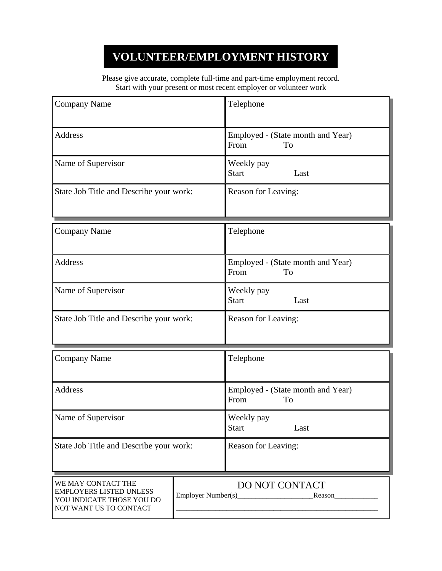## **VOLUNTEER/EMPLOYMENT HISTORY**

Please give accurate, complete full-time and part-time employment record. Start with your present or most recent employer or volunteer work

| <b>Company Name</b>                                                                                         |  | Telephone                                       |  |
|-------------------------------------------------------------------------------------------------------------|--|-------------------------------------------------|--|
| <b>Address</b>                                                                                              |  | Employed - (State month and Year)<br>From<br>To |  |
| Name of Supervisor                                                                                          |  | Weekly pay<br><b>Start</b><br>Last              |  |
| State Job Title and Describe your work:                                                                     |  | Reason for Leaving:                             |  |
| <b>Company Name</b>                                                                                         |  | Telephone                                       |  |
| <b>Address</b>                                                                                              |  | Employed - (State month and Year)<br>From<br>To |  |
| Name of Supervisor                                                                                          |  | Weekly pay<br><b>Start</b><br>Last              |  |
| State Job Title and Describe your work:                                                                     |  | Reason for Leaving:                             |  |
| <b>Company Name</b>                                                                                         |  | Telephone                                       |  |
| <b>Address</b>                                                                                              |  | Employed - (State month and Year)<br>From<br>To |  |
| Name of Supervisor                                                                                          |  | Weekly pay<br><b>Start</b><br>Last              |  |
| State Job Title and Describe your work:                                                                     |  | Reason for Leaving:                             |  |
| WE MAY CONTACT THE<br><b>EMPLOYERS LISTED UNLESS</b><br>YOU INDICATE THOSE YOU DO<br>NOT WANT US TO CONTACT |  | DO NOT CONTACT                                  |  |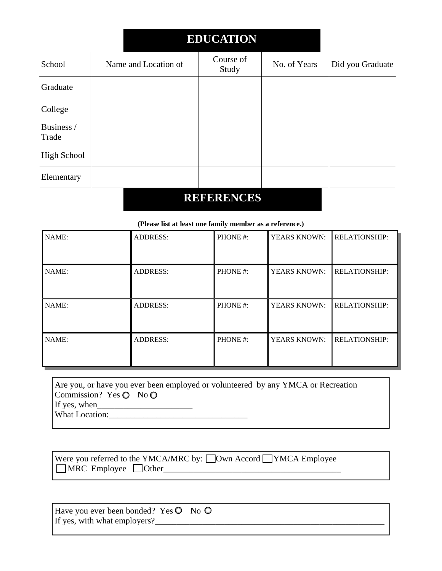## **EDUCATION**

| School              | Name and Location of | Course of<br>Study | No. of Years | Did you Graduate |
|---------------------|----------------------|--------------------|--------------|------------------|
| Graduate            |                      |                    |              |                  |
| College             |                      |                    |              |                  |
| Business /<br>Trade |                      |                    |              |                  |
| <b>High School</b>  |                      |                    |              |                  |
| Elementary          |                      |                    |              |                  |

### **REFERENCES**

#### **(Please list at least one family member as a reference.)**

| NAME: | <b>ADDRESS:</b> | PHONE#: | YEARS KNOWN:        | <b>RELATIONSHIP:</b> |
|-------|-----------------|---------|---------------------|----------------------|
| NAME: | <b>ADDRESS:</b> | PHONE#: | <b>YEARS KNOWN:</b> | <b>RELATIONSHIP:</b> |
| NAME: | <b>ADDRESS:</b> | PHONE#: | YEARS KNOWN:        | <b>RELATIONSHIP:</b> |
| NAME: | <b>ADDRESS:</b> | PHONE#: | <b>YEARS KNOWN:</b> | <b>RELATIONSHIP:</b> |

Are you, or have you ever been employed or volunteered by any YMCA or Recreation Commission? Yes  $\bigcirc$  No $\bigcirc$ If yes, when\_\_\_\_\_\_\_\_\_\_\_\_\_\_\_\_\_\_\_\_\_\_

What Location:\_\_\_\_\_\_\_\_\_\_\_\_\_\_\_\_\_\_\_\_\_\_\_\_\_\_\_\_\_\_\_\_

Were you referred to the YMCA/MRC by:  $\Box$ Own Accord  $\Box$  YMCA Employee  $\Box$ MRC Employee  $\Box$ Other $\Box$ 

| Have you ever been bonded? Yes $\bullet$ No $\bullet$ |  |
|-------------------------------------------------------|--|
| If yes, with what employers?                          |  |